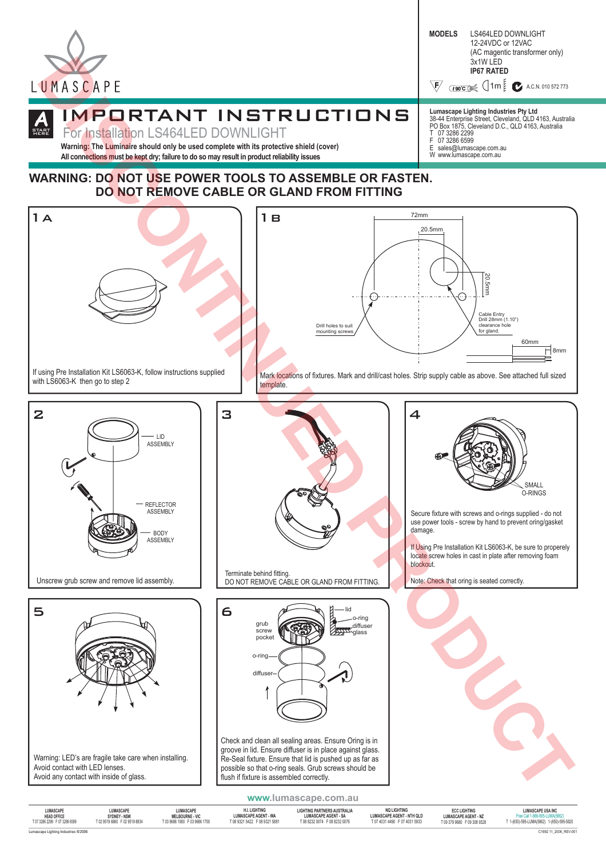

**START** 

HERE



38-44 Enterprise Street, Cleveland, QLD 4163, Australia PO Box 1875, Cleveland D.C., QLD 4163, Australia

**Lumascape Lighting Industries Pty Ltd**

T 07 3286 2299 F 07 3286 6599 E sales@lumascape.com.au W www.lumascape.com.au

### **A** IMPORTANT INSTRUCTIONS

For Installation LS464LED DOWNLIGHT

**Warning: The Luminaire should only be used complete with its protective shield (cover) All connections must be kept dry; failure to do so may result in product reliability issues**

### **WARNING: DO NOT USE POWER TOOLS TO ASSEMBLE OR FASTEN. DO NOT REMOVE CABLE OR GLAND FROM FITTING**



| LUMASCAPE                           | LUMASCAPE                   | LUMASCAPE                     | H.I. LIGHTING                 | LIGHTING PARTNERS AUSTRALIA   | <b>NO LIGHTING</b>               | <b>ECC LIGHTING</b>         | <b>LUMASCAPE USA INC</b>                  |
|-------------------------------------|-----------------------------|-------------------------------|-------------------------------|-------------------------------|----------------------------------|-----------------------------|-------------------------------------------|
| <b>HEAD OFFICE</b>                  | SYDNEY - NSW                | <b>MELBOURNE - VIC</b>        | <b>LUMASCAPE AGENT - WA</b>   | <b>LUMASCAPE AGENT - SA</b>   | <b>LUMASCAPE AGENT - NTH QLD</b> | <b>LUMASCAPE AGENT - NZ</b> | Free Call 1-866-695-LUMA(5862)            |
| T 07 3286 2299 F 07 3286 6599       | T02 9519 6860 F02 9519 8834 | T 03 9686 1900 F 03 9686 1700 | T 08 9321 5422 F 08 9321 5881 | T 08 8232 0074 F 08 8232 0076 | T 07 4031 4490 F 07 4031 5933    | T093799680 F093089328       | T 1-(650)-595-LUMA(5862) 1-(650)-595-5820 |
| Lumascape Lighting Industries @2006 |                             |                               |                               |                               |                                  |                             | C1692 11 2006 REV-001                     |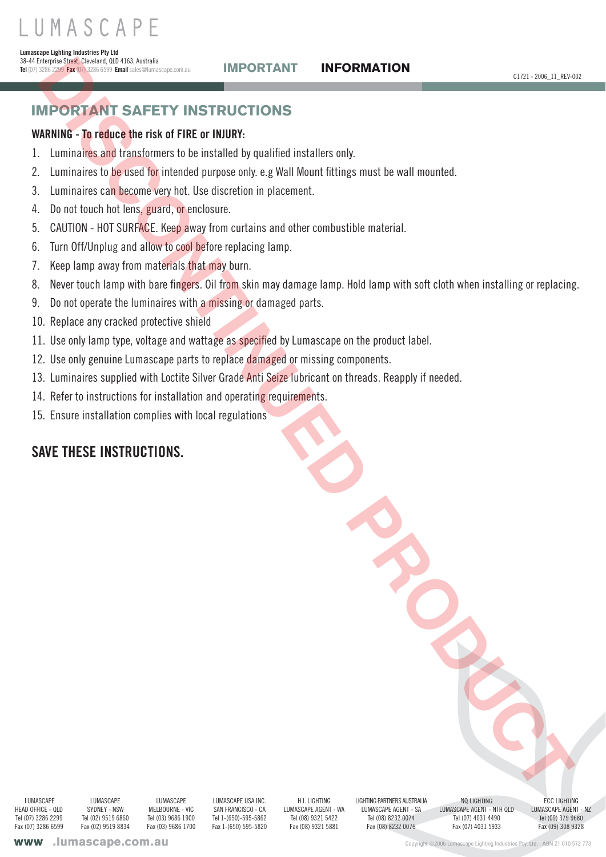# IMPORTANT SAFETY INSTRUCTIONS

## **WARNING - To reduce the risk of FIRE or INJURY:**

- Luminaires and transformers to be installed by qualified installers only. 1.
- Luminaires to be used for intended purpose only. e.g Wall Mount fittings must be wall mounted. 2.
- Luminaires can become very hot. Use discretion in placement. 3.
- Do not touch hot lens, guard, or enclosure. 4.
- CAUTION HOT SURFACE. Keep away from curtains and other combustible material. 5.
- 6. Turn Off/Unplug and allow to cool before replacing lamp.
- Keep lamp away from materials that may burn. 7.
- Never touch lamp with bare fingers. Oil from skin may damage lamp. Hold lamp with soft cloth when installing or replacing. 8. **IMPORTANT SAFETY INSTRUCTIONS**<br> **CONTRAIT SAFETY INSTRUCTIONS**<br> **CONTRAIT SAFETY INSTRUCTIONS**<br> **Luminonies to give the interaction is related to gradied installer andy<br>
Luminonies to give the interact to be stabled by ap**
- Do not operate the luminaires with a missing or damaged parts. 9.
- 10. Replace any cracked protective shield
- 11. Use only lamp type, voltage and wattage as specified by Lumascape on the product label.
- 12. Use only genuine Lumascape parts to replace damaged or missing components.
- 13. Luminaires supplied with Loctite Silver Grade Anti Seize lubricant on threads. Reapply if needed.
- 14. Refer to instructions for installation and operating requirements.
- 15. Ensure installation complies with local regulations

# **SAVE THESE INSTRUCTIONS.**

 LUMASCAPE HEAD OFFICE - QLD Tel (07) 3286 2299 Fax (07) 3286 6599

**LUMASCAPE** SYDNEY - NSW Tel (02) 9519 6860 Fax (02) 9519 8834

**LUMASCAPE** MELBOURNE - VIC Tel (03) 9686 1900 Fax (03) 9686 1700

LUMASCAPE USA INC. SAN FRANCISCO - CA Tel 1-(650)-595-5862 Fax 1-(650) 595-5820

H.I. LIGHTING LUMASCAPE AGENT - WA Tel (08) 9321 5422 Fax (08) 9321 5881

LIGHTING PARTNERS AUSTRALIA LUMASCAPE AGENT - SA Tel (08) 8232 0074 Fax (08) 8232 0076

NQ LIGHTING LUMASCAPE AGENT - NTH QLD Tel (07) 4031 4490 Fax (07) 4031 5933 PARTNERS AUSTRALIA NO LIGHTING CAPE AGENT - SAND RECCLIGHTING<br>CAPE AGENT - SAND LUMASCAPE AGENT - NTH QLD LUMASCAPE AGEN<br>28) New York 1020 1031 4490 Tel (09) 379 9<br>28) OR) New York 1020 1031 5933 Fax (09) 308 9

**ECC LIGHTING** LUMASCAPE AGENT - NZ Tel (09) 379 9680 Fax (09) 308 9328